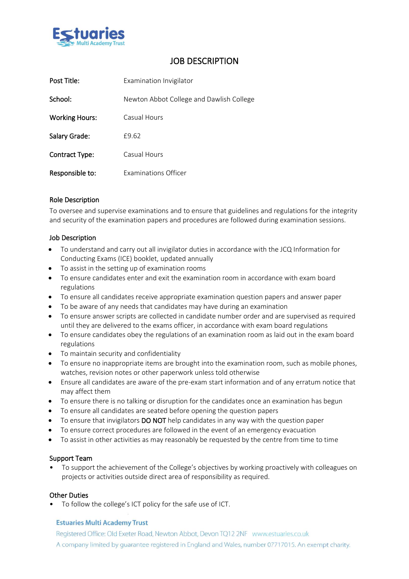

# JOB DESCRIPTION

| Post Title:           | Examination Invigilator                  |
|-----------------------|------------------------------------------|
| School:               | Newton Abbot College and Dawlish College |
| <b>Working Hours:</b> | Casual Hours                             |
| Salary Grade:         | £9.62                                    |
| Contract Type:        | Casual Hours                             |
| Responsible to:       | Examinations Officer                     |

## Role Description

To oversee and supervise examinations and to ensure that guidelines and regulations for the integrity and security of the examination papers and procedures are followed during examination sessions.

### Job Description

- To understand and carry out all invigilator duties in accordance with the JCQ Information for Conducting Exams (ICE) booklet, updated annually
- To assist in the setting up of examination rooms
- To ensure candidates enter and exit the examination room in accordance with exam board regulations
- To ensure all candidates receive appropriate examination question papers and answer paper
- To be aware of any needs that candidates may have during an examination
- To ensure answer scripts are collected in candidate number order and are supervised as required until they are delivered to the exams officer, in accordance with exam board regulations
- To ensure candidates obey the regulations of an examination room as laid out in the exam board regulations
- To maintain security and confidentiality
- To ensure no inappropriate items are brought into the examination room, such as mobile phones, watches, revision notes or other paperwork unless told otherwise
- Ensure all candidates are aware of the pre-exam start information and of any erratum notice that may affect them
- To ensure there is no talking or disruption for the candidates once an examination has begun
- To ensure all candidates are seated before opening the question papers
- To ensure that invigilators **DO NOT** help candidates in any way with the question paper
- To ensure correct procedures are followed in the event of an emergency evacuation
- To assist in other activities as may reasonably be requested by the centre from time to time

#### Support Team

• To support the achievement of the College's objectives by working proactively with colleagues on projects or activities outside direct area of responsibility as required.

#### Other Duties

To follow the college's ICT policy for the safe use of ICT.

#### **Estuaries Multi Academy Trust**

Registered Office: Old Exeter Road, Newton Abbot, Devon TQ12 2NF www.estuaries.co.uk A company limited by guarantee registered in England and Wales, number 07717015. An exempt charity.